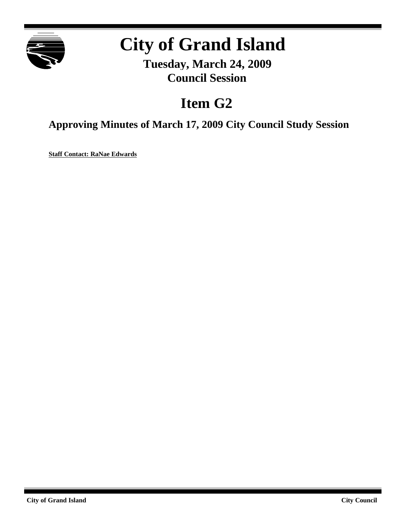

## **City of Grand Island**

**Tuesday, March 24, 2009 Council Session**

## **Item G2**

**Approving Minutes of March 17, 2009 City Council Study Session**

**Staff Contact: RaNae Edwards**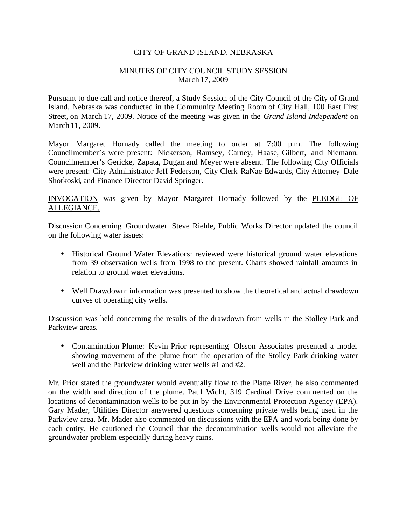## CITY OF GRAND ISLAND, NEBRASKA

## MINUTES OF CITY COUNCIL STUDY SESSION March 17, 2009

Pursuant to due call and notice thereof, a Study Session of the City Council of the City of Grand Island, Nebraska was conducted in the Community Meeting Room of City Hall, 100 East First Street, on March 17, 2009. Notice of the meeting was given in the *Grand Island Independent* on March 11, 2009.

Mayor Margaret Hornady called the meeting to order at 7:00 p.m. The following Councilmember's were present: Nickerson, Ramsey, Carney, Haase, Gilbert, and Niemann. Councilmember's Gericke, Zapata, Dugan and Meyer were absent. The following City Officials were present: City Administrator Jeff Pederson, City Clerk RaNae Edwards, City Attorney Dale Shotkoski, and Finance Director David Springer.

INVOCATION was given by Mayor Margaret Hornady followed by the PLEDGE OF ALLEGIANCE.

Discussion Concerning Groundwater. Steve Riehle, Public Works Director updated the council on the following water issues:

- Historical Ground Water Elevations: reviewed were historical ground water elevations from 39 observation wells from 1998 to the present. Charts showed rainfall amounts in relation to ground water elevations.
- Well Drawdown: information was presented to show the theoretical and actual drawdown curves of operating city wells.

Discussion was held concerning the results of the drawdown from wells in the Stolley Park and Parkview areas.

• Contamination Plume: Kevin Prior representing Olsson Associates presented a model showing movement of the plume from the operation of the Stolley Park drinking water well and the Parkview drinking water wells #1 and #2.

Mr. Prior stated the groundwater would eventually flow to the Platte River, he also commented on the width and direction of the plume. Paul Wicht, 319 Cardinal Drive commented on the locations of decontamination wells to be put in by the Environmental Protection Agency (EPA). Gary Mader, Utilities Director answered questions concerning private wells being used in the Parkview area. Mr. Mader also commented on discussions with the EPA and work being done by each entity. He cautioned the Council that the decontamination wells would not alleviate the groundwater problem especially during heavy rains.